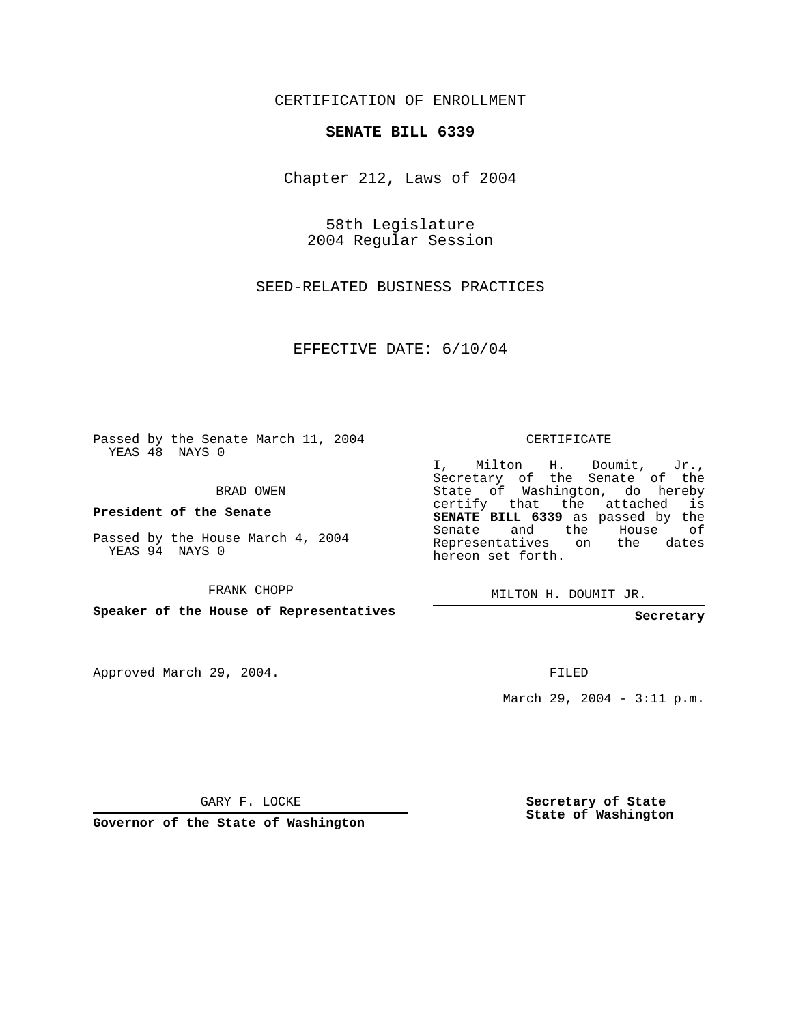CERTIFICATION OF ENROLLMENT

## **SENATE BILL 6339**

Chapter 212, Laws of 2004

58th Legislature 2004 Regular Session

SEED-RELATED BUSINESS PRACTICES

EFFECTIVE DATE: 6/10/04

Passed by the Senate March 11, 2004 YEAS 48 NAYS 0

BRAD OWEN

**President of the Senate**

Passed by the House March 4, 2004 YEAS 94 NAYS 0

FRANK CHOPP

**Speaker of the House of Representatives**

Approved March 29, 2004.

CERTIFICATE

I, Milton H. Doumit, Jr., Secretary of the Senate of the State of Washington, do hereby certify that the attached is **SENATE BILL 6339** as passed by the Senate and the House of Representatives on the dates hereon set forth.

MILTON H. DOUMIT JR.

**Secretary**

FILED

March 29, 2004 - 3:11 p.m.

GARY F. LOCKE

**Governor of the State of Washington**

**Secretary of State State of Washington**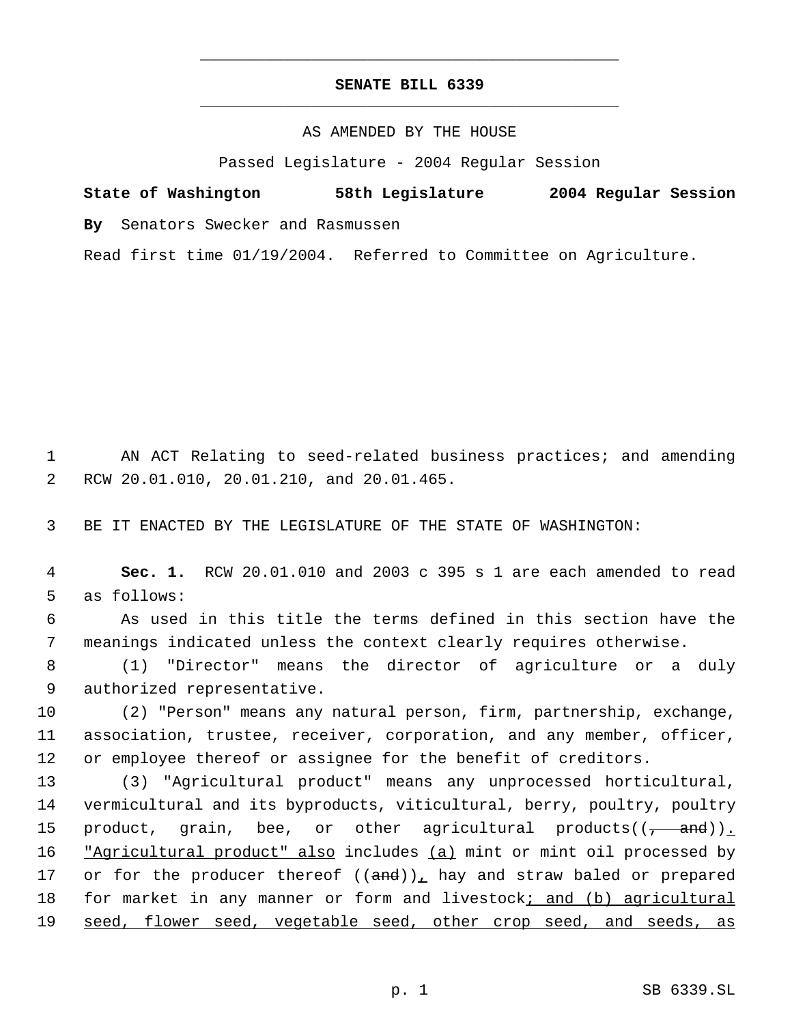## **SENATE BILL 6339** \_\_\_\_\_\_\_\_\_\_\_\_\_\_\_\_\_\_\_\_\_\_\_\_\_\_\_\_\_\_\_\_\_\_\_\_\_\_\_\_\_\_\_\_\_

\_\_\_\_\_\_\_\_\_\_\_\_\_\_\_\_\_\_\_\_\_\_\_\_\_\_\_\_\_\_\_\_\_\_\_\_\_\_\_\_\_\_\_\_\_

AS AMENDED BY THE HOUSE

Passed Legislature - 2004 Regular Session

**State of Washington 58th Legislature 2004 Regular Session By** Senators Swecker and Rasmussen

Read first time 01/19/2004. Referred to Committee on Agriculture.

 1 AN ACT Relating to seed-related business practices; and amending 2 RCW 20.01.010, 20.01.210, and 20.01.465.

3 BE IT ENACTED BY THE LEGISLATURE OF THE STATE OF WASHINGTON:

 4 **Sec. 1.** RCW 20.01.010 and 2003 c 395 s 1 are each amended to read 5 as follows:

 6 As used in this title the terms defined in this section have the 7 meanings indicated unless the context clearly requires otherwise.

 8 (1) "Director" means the director of agriculture or a duly 9 authorized representative.

10 (2) "Person" means any natural person, firm, partnership, exchange, 11 association, trustee, receiver, corporation, and any member, officer, 12 or employee thereof or assignee for the benefit of creditors.

13 (3) "Agricultural product" means any unprocessed horticultural, 14 vermicultural and its byproducts, viticultural, berry, poultry, poultry 15 product, grain, bee, or other agricultural products(( $\frac{1}{1-\alpha}$ )). 16 "Agricultural product" also includes (a) mint or mint oil processed by 17 or for the producer thereof  $((and))_L$  hay and straw baled or prepared 18 for market in any manner or form and livestock; and (b) agricultural 19 seed, flower seed, vegetable seed, other crop seed, and seeds, as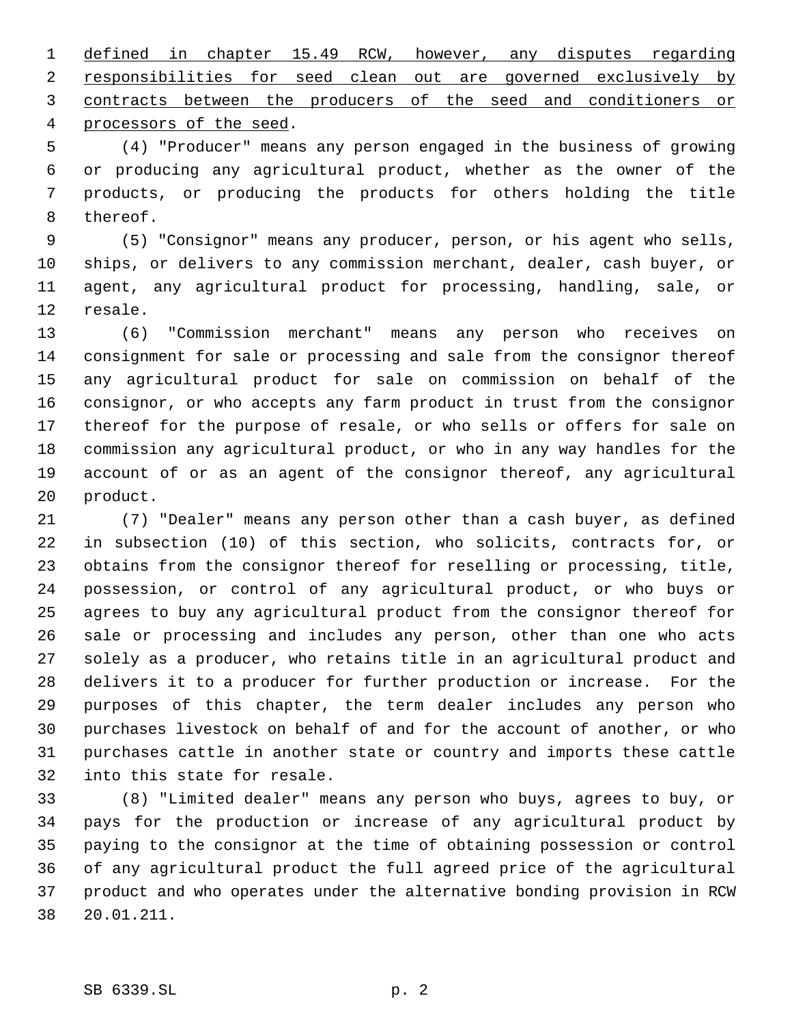defined in chapter 15.49 RCW, however, any disputes regarding responsibilities for seed clean out are governed exclusively by contracts between the producers of the seed and conditioners or processors of the seed.

 (4) "Producer" means any person engaged in the business of growing or producing any agricultural product, whether as the owner of the products, or producing the products for others holding the title thereof.

 (5) "Consignor" means any producer, person, or his agent who sells, ships, or delivers to any commission merchant, dealer, cash buyer, or agent, any agricultural product for processing, handling, sale, or resale.

 (6) "Commission merchant" means any person who receives on consignment for sale or processing and sale from the consignor thereof any agricultural product for sale on commission on behalf of the consignor, or who accepts any farm product in trust from the consignor thereof for the purpose of resale, or who sells or offers for sale on commission any agricultural product, or who in any way handles for the account of or as an agent of the consignor thereof, any agricultural product.

 (7) "Dealer" means any person other than a cash buyer, as defined in subsection (10) of this section, who solicits, contracts for, or obtains from the consignor thereof for reselling or processing, title, possession, or control of any agricultural product, or who buys or agrees to buy any agricultural product from the consignor thereof for sale or processing and includes any person, other than one who acts solely as a producer, who retains title in an agricultural product and delivers it to a producer for further production or increase. For the purposes of this chapter, the term dealer includes any person who purchases livestock on behalf of and for the account of another, or who purchases cattle in another state or country and imports these cattle into this state for resale.

 (8) "Limited dealer" means any person who buys, agrees to buy, or pays for the production or increase of any agricultural product by paying to the consignor at the time of obtaining possession or control of any agricultural product the full agreed price of the agricultural product and who operates under the alternative bonding provision in RCW 20.01.211.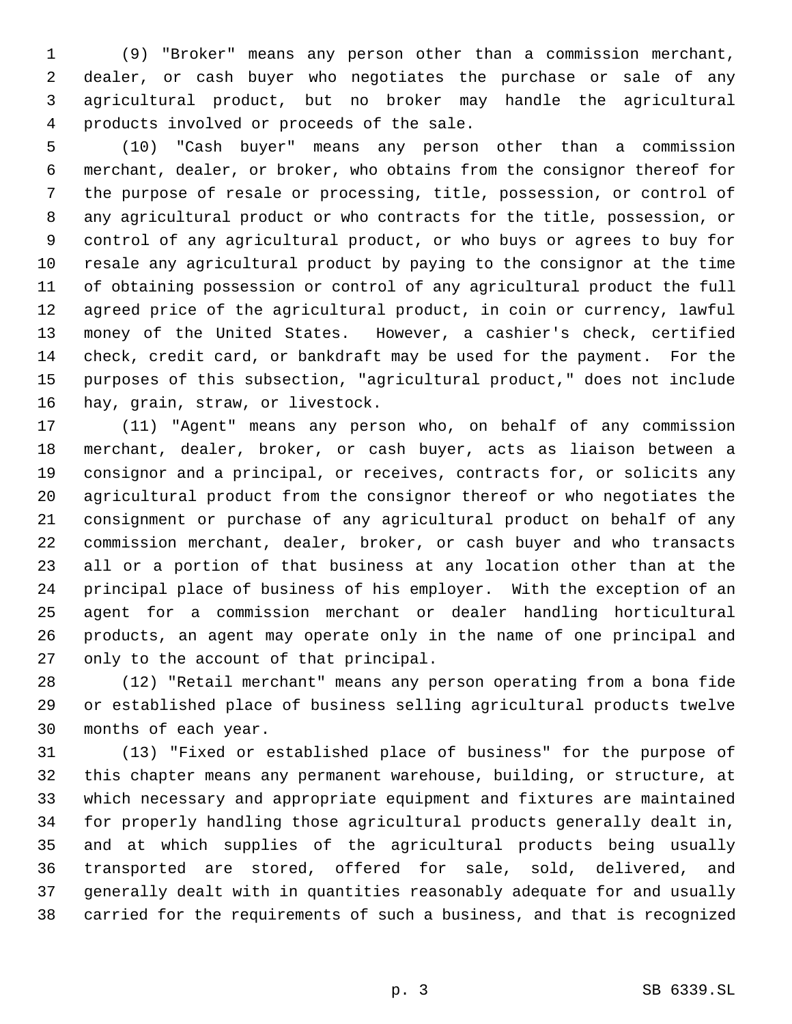(9) "Broker" means any person other than a commission merchant, dealer, or cash buyer who negotiates the purchase or sale of any agricultural product, but no broker may handle the agricultural products involved or proceeds of the sale.

 (10) "Cash buyer" means any person other than a commission merchant, dealer, or broker, who obtains from the consignor thereof for the purpose of resale or processing, title, possession, or control of any agricultural product or who contracts for the title, possession, or control of any agricultural product, or who buys or agrees to buy for resale any agricultural product by paying to the consignor at the time of obtaining possession or control of any agricultural product the full agreed price of the agricultural product, in coin or currency, lawful money of the United States. However, a cashier's check, certified check, credit card, or bankdraft may be used for the payment. For the purposes of this subsection, "agricultural product," does not include hay, grain, straw, or livestock.

 (11) "Agent" means any person who, on behalf of any commission merchant, dealer, broker, or cash buyer, acts as liaison between a consignor and a principal, or receives, contracts for, or solicits any agricultural product from the consignor thereof or who negotiates the consignment or purchase of any agricultural product on behalf of any commission merchant, dealer, broker, or cash buyer and who transacts all or a portion of that business at any location other than at the principal place of business of his employer. With the exception of an agent for a commission merchant or dealer handling horticultural products, an agent may operate only in the name of one principal and only to the account of that principal.

 (12) "Retail merchant" means any person operating from a bona fide or established place of business selling agricultural products twelve months of each year.

 (13) "Fixed or established place of business" for the purpose of this chapter means any permanent warehouse, building, or structure, at which necessary and appropriate equipment and fixtures are maintained for properly handling those agricultural products generally dealt in, and at which supplies of the agricultural products being usually transported are stored, offered for sale, sold, delivered, and generally dealt with in quantities reasonably adequate for and usually carried for the requirements of such a business, and that is recognized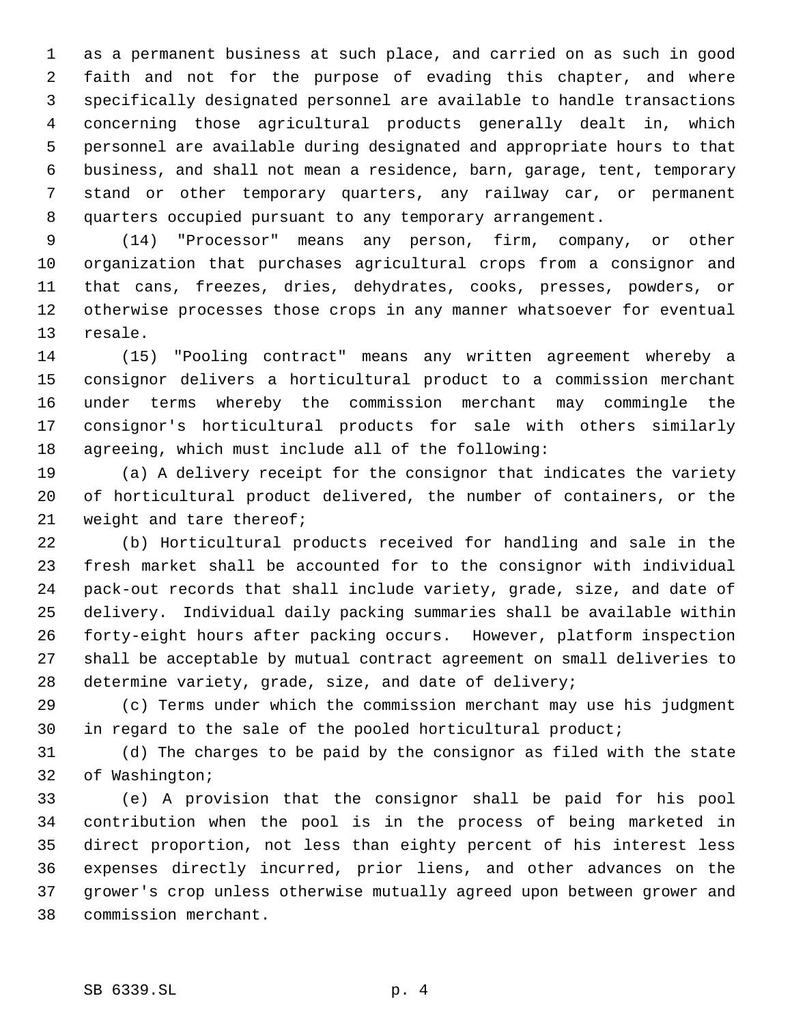as a permanent business at such place, and carried on as such in good faith and not for the purpose of evading this chapter, and where specifically designated personnel are available to handle transactions concerning those agricultural products generally dealt in, which personnel are available during designated and appropriate hours to that business, and shall not mean a residence, barn, garage, tent, temporary stand or other temporary quarters, any railway car, or permanent quarters occupied pursuant to any temporary arrangement.

 (14) "Processor" means any person, firm, company, or other organization that purchases agricultural crops from a consignor and that cans, freezes, dries, dehydrates, cooks, presses, powders, or otherwise processes those crops in any manner whatsoever for eventual resale.

 (15) "Pooling contract" means any written agreement whereby a consignor delivers a horticultural product to a commission merchant under terms whereby the commission merchant may commingle the consignor's horticultural products for sale with others similarly agreeing, which must include all of the following:

 (a) A delivery receipt for the consignor that indicates the variety of horticultural product delivered, the number of containers, or the weight and tare thereof;

 (b) Horticultural products received for handling and sale in the fresh market shall be accounted for to the consignor with individual pack-out records that shall include variety, grade, size, and date of delivery. Individual daily packing summaries shall be available within forty-eight hours after packing occurs. However, platform inspection shall be acceptable by mutual contract agreement on small deliveries to determine variety, grade, size, and date of delivery;

 (c) Terms under which the commission merchant may use his judgment in regard to the sale of the pooled horticultural product;

 (d) The charges to be paid by the consignor as filed with the state of Washington;

 (e) A provision that the consignor shall be paid for his pool contribution when the pool is in the process of being marketed in direct proportion, not less than eighty percent of his interest less expenses directly incurred, prior liens, and other advances on the grower's crop unless otherwise mutually agreed upon between grower and commission merchant.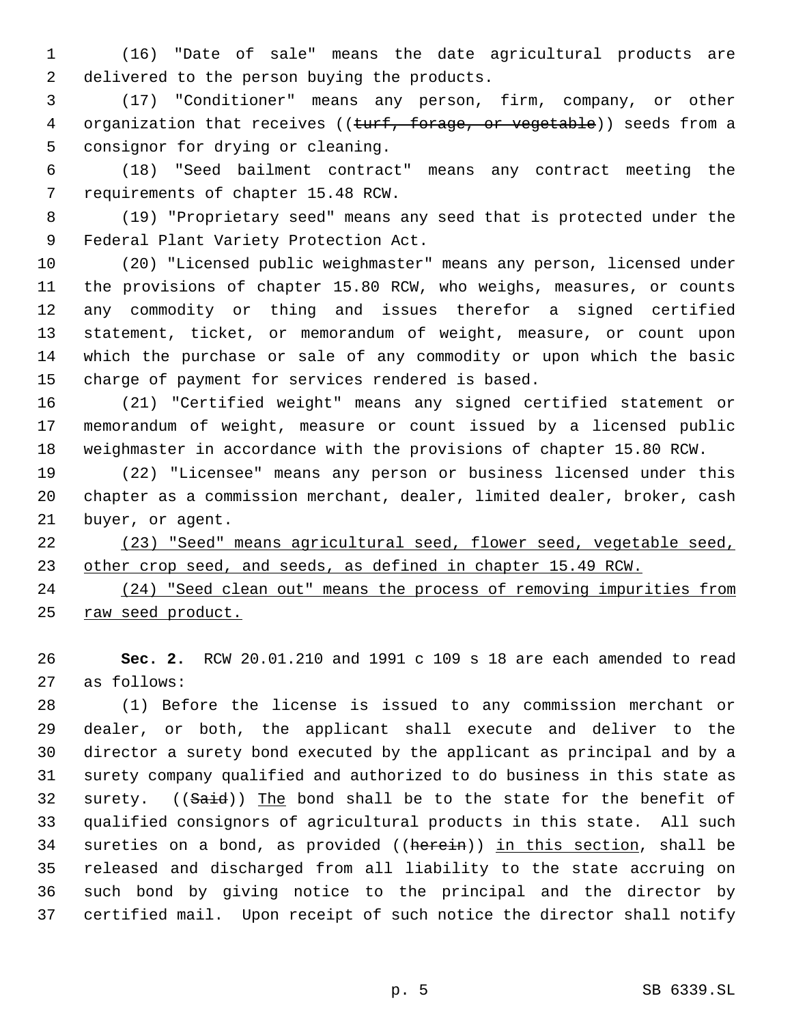(16) "Date of sale" means the date agricultural products are delivered to the person buying the products.

 (17) "Conditioner" means any person, firm, company, or other 4 organization that receives ((turf, forage, or vegetable)) seeds from a consignor for drying or cleaning.

 (18) "Seed bailment contract" means any contract meeting the requirements of chapter 15.48 RCW.

 (19) "Proprietary seed" means any seed that is protected under the Federal Plant Variety Protection Act.

 (20) "Licensed public weighmaster" means any person, licensed under the provisions of chapter 15.80 RCW, who weighs, measures, or counts any commodity or thing and issues therefor a signed certified statement, ticket, or memorandum of weight, measure, or count upon which the purchase or sale of any commodity or upon which the basic charge of payment for services rendered is based.

 (21) "Certified weight" means any signed certified statement or memorandum of weight, measure or count issued by a licensed public weighmaster in accordance with the provisions of chapter 15.80 RCW.

 (22) "Licensee" means any person or business licensed under this chapter as a commission merchant, dealer, limited dealer, broker, cash buyer, or agent.

 (23) "Seed" means agricultural seed, flower seed, vegetable seed, 23 other crop seed, and seeds, as defined in chapter 15.49 RCW.

 (24) "Seed clean out" means the process of removing impurities from raw seed product.

 **Sec. 2.** RCW 20.01.210 and 1991 c 109 s 18 are each amended to read as follows:

 (1) Before the license is issued to any commission merchant or dealer, or both, the applicant shall execute and deliver to the director a surety bond executed by the applicant as principal and by a surety company qualified and authorized to do business in this state as 32 surety. ((Said)) The bond shall be to the state for the benefit of qualified consignors of agricultural products in this state. All such 34 sureties on a bond, as provided ((herein)) in this section, shall be released and discharged from all liability to the state accruing on such bond by giving notice to the principal and the director by certified mail. Upon receipt of such notice the director shall notify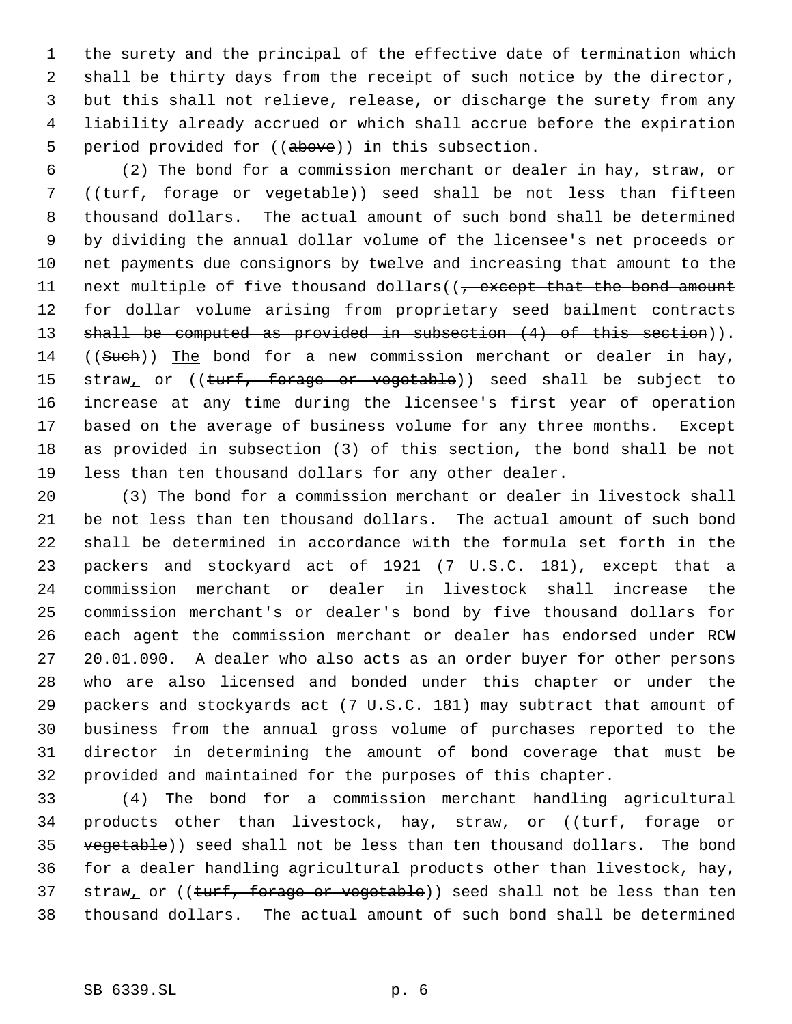the surety and the principal of the effective date of termination which shall be thirty days from the receipt of such notice by the director, but this shall not relieve, release, or discharge the surety from any liability already accrued or which shall accrue before the expiration 5 period provided for ((above)) in this subsection.

 (2) The bond for a commission merchant or dealer in hay, straw, or 7 ((turf, forage or vegetable)) seed shall be not less than fifteen thousand dollars. The actual amount of such bond shall be determined by dividing the annual dollar volume of the licensee's net proceeds or net payments due consignors by twelve and increasing that amount to the 11 next multiple of five thousand dollars((, except that the bond amount 12 for dollar volume arising from proprietary seed bailment contracts 13 shall be computed as provided in subsection (4) of this section)). 14 ((Such)) The bond for a new commission merchant or dealer in hay, 15 straw<sub>1</sub> or ((turf, forage or vegetable)) seed shall be subject to increase at any time during the licensee's first year of operation based on the average of business volume for any three months. Except as provided in subsection (3) of this section, the bond shall be not less than ten thousand dollars for any other dealer.

 (3) The bond for a commission merchant or dealer in livestock shall be not less than ten thousand dollars. The actual amount of such bond shall be determined in accordance with the formula set forth in the packers and stockyard act of 1921 (7 U.S.C. 181), except that a commission merchant or dealer in livestock shall increase the commission merchant's or dealer's bond by five thousand dollars for each agent the commission merchant or dealer has endorsed under RCW 20.01.090. A dealer who also acts as an order buyer for other persons who are also licensed and bonded under this chapter or under the packers and stockyards act (7 U.S.C. 181) may subtract that amount of business from the annual gross volume of purchases reported to the director in determining the amount of bond coverage that must be provided and maintained for the purposes of this chapter.

 (4) The bond for a commission merchant handling agricultural 34 products other than livestock, hay, straw<sub>1</sub> or  $($ (turf, forage or 35 vegetable)) seed shall not be less than ten thousand dollars. The bond for a dealer handling agricultural products other than livestock, hay, 37 straw<sub>1</sub> or ((turf, forage or vegetable)) seed shall not be less than ten thousand dollars. The actual amount of such bond shall be determined